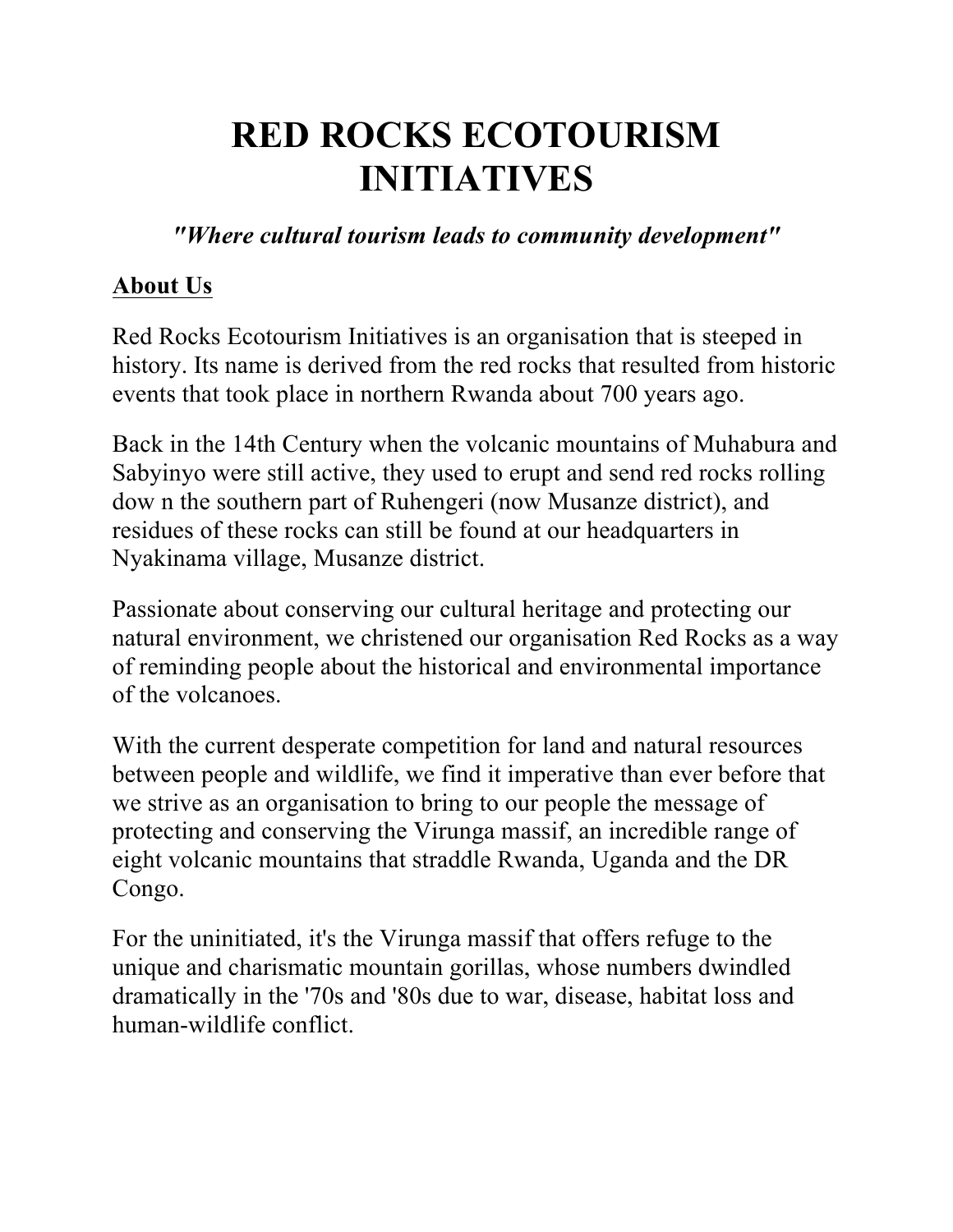# **RED ROCKS ECOTOURISM INITIATIVES**

*"Where cultural tourism leads to community development"*

#### **About Us**

Red Rocks Ecotourism Initiatives is an organisation that is steeped in history. Its name is derived from the red rocks that resulted from historic events that took place in northern Rwanda about 700 years ago.

Back in the 14th Century when the volcanic mountains of Muhabura and Sabyinyo were still active, they used to erupt and send red rocks rolling dow n the southern part of Ruhengeri (now Musanze district), and residues of these rocks can still be found at our headquarters in Nyakinama village, Musanze district.

Passionate about conserving our cultural heritage and protecting our natural environment, we christened our organisation Red Rocks as a way of reminding people about the historical and environmental importance of the volcanoes.

With the current desperate competition for land and natural resources between people and wildlife, we find it imperative than ever before that we strive as an organisation to bring to our people the message of protecting and conserving the Virunga massif, an incredible range of eight volcanic mountains that straddle Rwanda, Uganda and the DR Congo.

For the uninitiated, it's the Virunga massif that offers refuge to the unique and charismatic mountain gorillas, whose numbers dwindled dramatically in the '70s and '80s due to war, disease, habitat loss and human-wildlife conflict.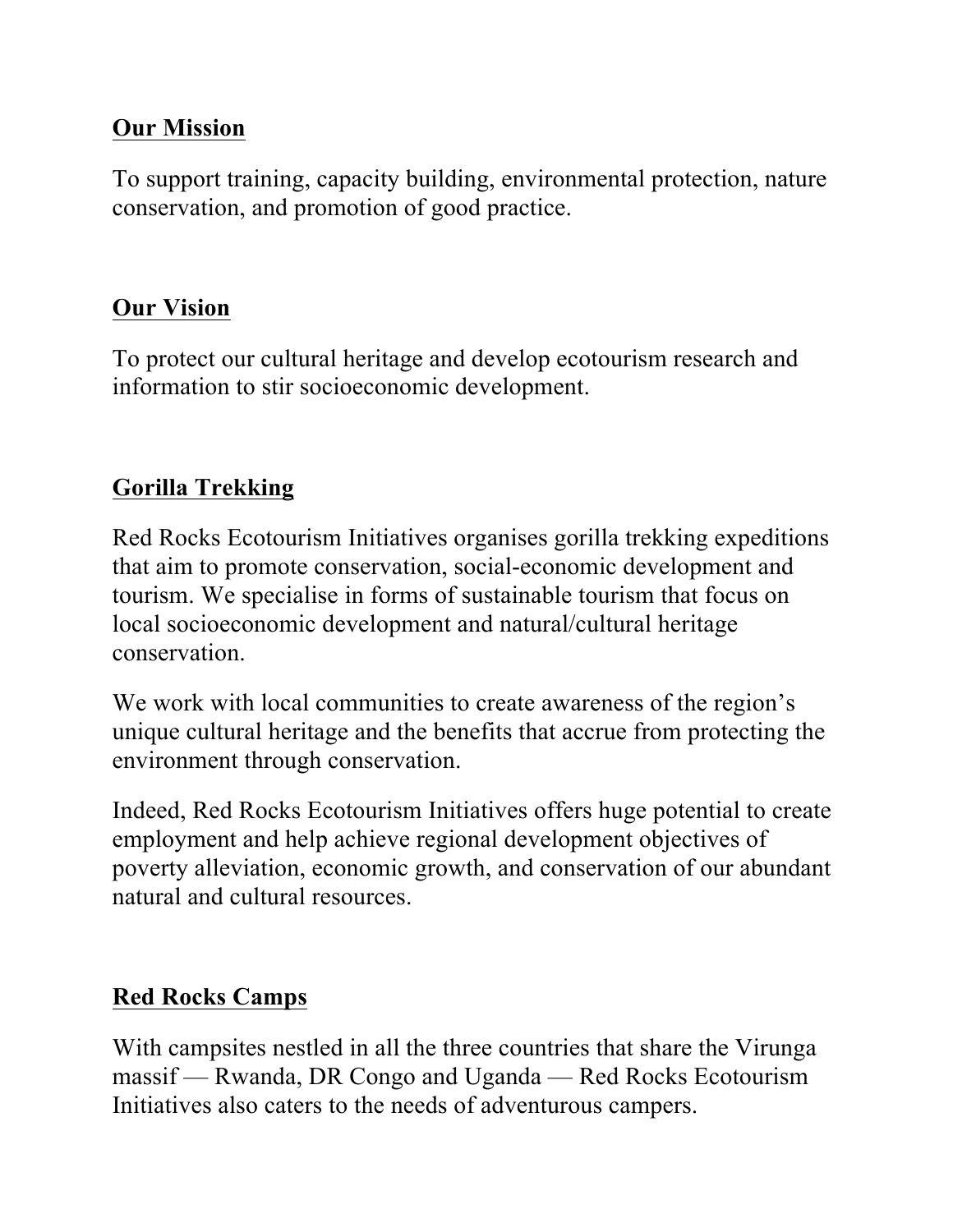#### **Our Mission**

To support training, capacity building, environmental protection, nature conservation, and promotion of good practice.

#### **Our Vision**

To protect our cultural heritage and develop ecotourism research and information to stir socioeconomic development.

#### **Gorilla Trekking**

Red Rocks Ecotourism Initiatives organises gorilla trekking expeditions that aim to promote conservation, social-economic development and tourism. We specialise in forms of sustainable tourism that focus on local socioeconomic development and natural/cultural heritage conservation.

We work with local communities to create awareness of the region's unique cultural heritage and the benefits that accrue from protecting the environment through conservation.

Indeed, Red Rocks Ecotourism Initiatives offers huge potential to create employment and help achieve regional development objectives of poverty alleviation, economic growth, and conservation of our abundant natural and cultural resources.

## **Red Rocks Camps**

With campsites nestled in all the three countries that share the Virunga massif — Rwanda, DR Congo and Uganda — Red Rocks Ecotourism Initiatives also caters to the needs of adventurous campers.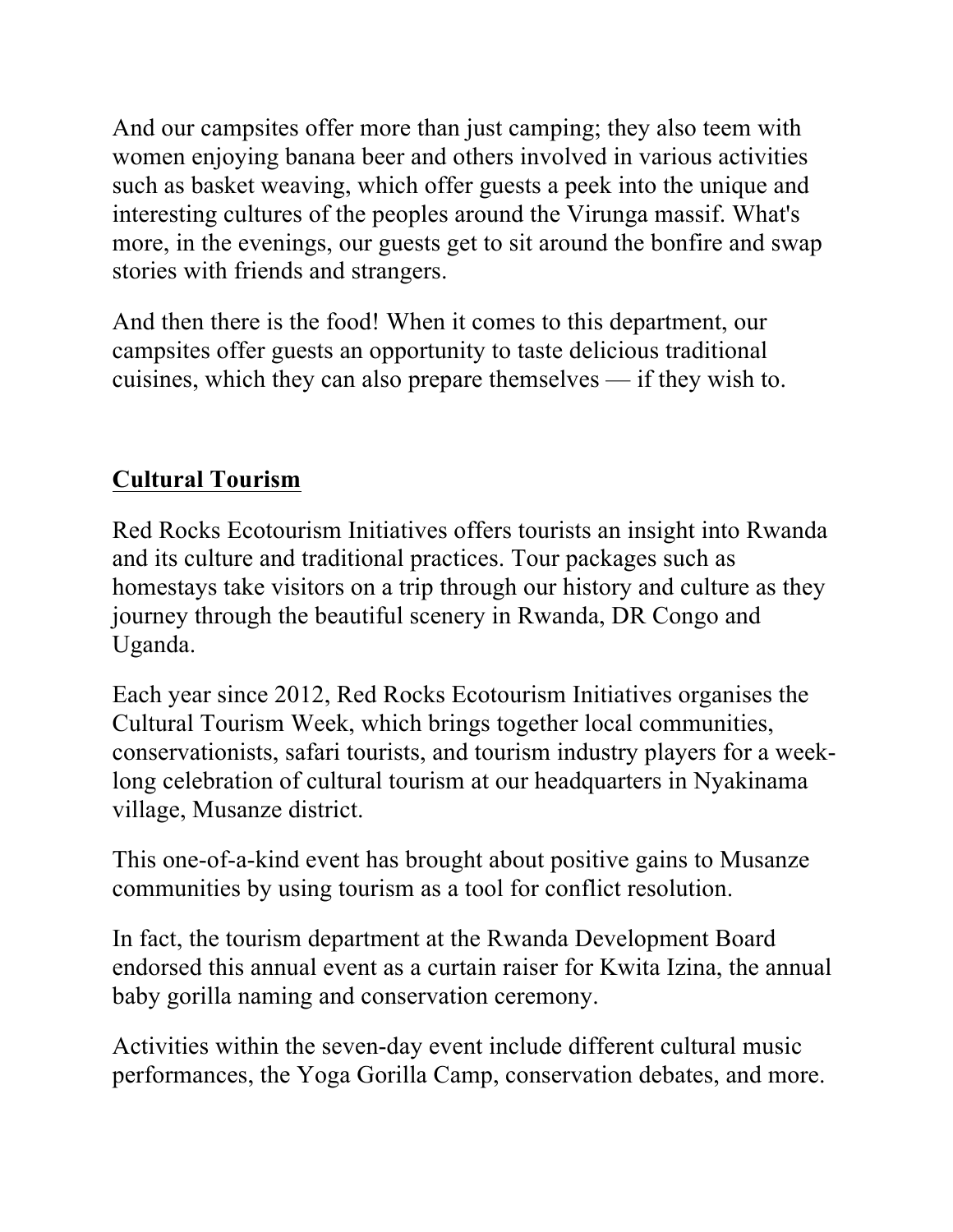And our campsites offer more than just camping; they also teem with women enjoying banana beer and others involved in various activities such as basket weaving, which offer guests a peek into the unique and interesting cultures of the peoples around the Virunga massif. What's more, in the evenings, our guests get to sit around the bonfire and swap stories with friends and strangers.

And then there is the food! When it comes to this department, our campsites offer guests an opportunity to taste delicious traditional cuisines, which they can also prepare themselves — if they wish to.

#### **Cultural Tourism**

Red Rocks Ecotourism Initiatives offers tourists an insight into Rwanda and its culture and traditional practices. Tour packages such as homestays take visitors on a trip through our history and culture as they journey through the beautiful scenery in Rwanda, DR Congo and Uganda.

Each year since 2012, Red Rocks Ecotourism Initiatives organises the Cultural Tourism Week, which brings together local communities, conservationists, safari tourists, and tourism industry players for a weeklong celebration of cultural tourism at our headquarters in Nyakinama village, Musanze district.

This one-of-a-kind event has brought about positive gains to Musanze communities by using tourism as a tool for conflict resolution.

In fact, the tourism department at the Rwanda Development Board endorsed this annual event as a curtain raiser for Kwita Izina, the annual baby gorilla naming and conservation ceremony.

Activities within the seven-day event include different cultural music performances, the Yoga Gorilla Camp, conservation debates, and more.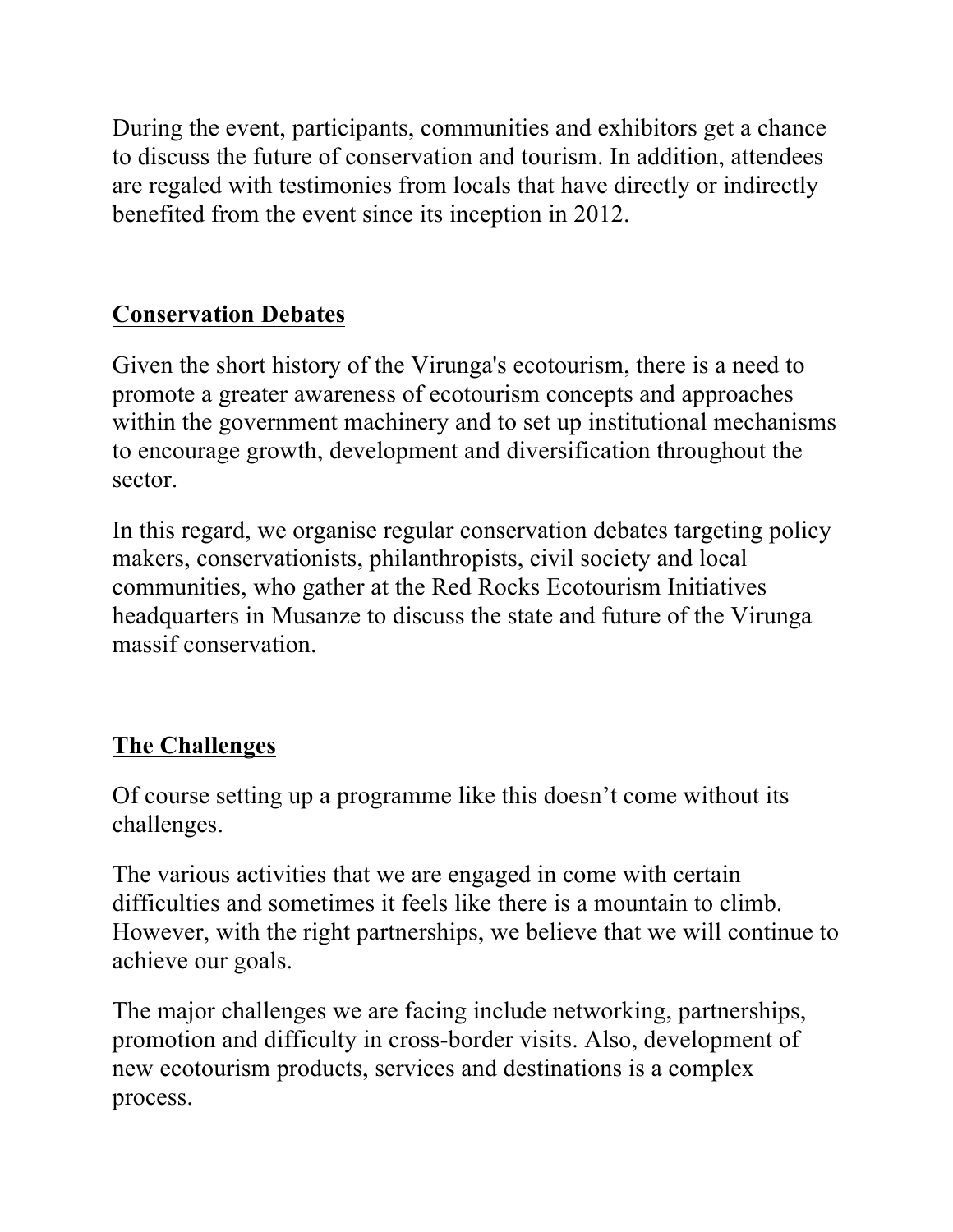During the event, participants, communities and exhibitors get a chance to discuss the future of conservation and tourism. In addition, attendees are regaled with testimonies from locals that have directly or indirectly benefited from the event since its inception in 2012.

### **Conservation Debates**

Given the short history of the Virunga's ecotourism, there is a need to promote a greater awareness of ecotourism concepts and approaches within the government machinery and to set up institutional mechanisms to encourage growth, development and diversification throughout the sector.

In this regard, we organise regular conservation debates targeting policy makers, conservationists, philanthropists, civil society and local communities, who gather at the Red Rocks Ecotourism Initiatives headquarters in Musanze to discuss the state and future of the Virunga massif conservation.

## **The Challenges**

Of course setting up a programme like this doesn't come without its challenges.

The various activities that we are engaged in come with certain difficulties and sometimes it feels like there is a mountain to climb. However, with the right partnerships, we believe that we will continue to achieve our goals.

The major challenges we are facing include networking, partnerships, promotion and difficulty in cross-border visits. Also, development of new ecotourism products, services and destinations is a complex process.